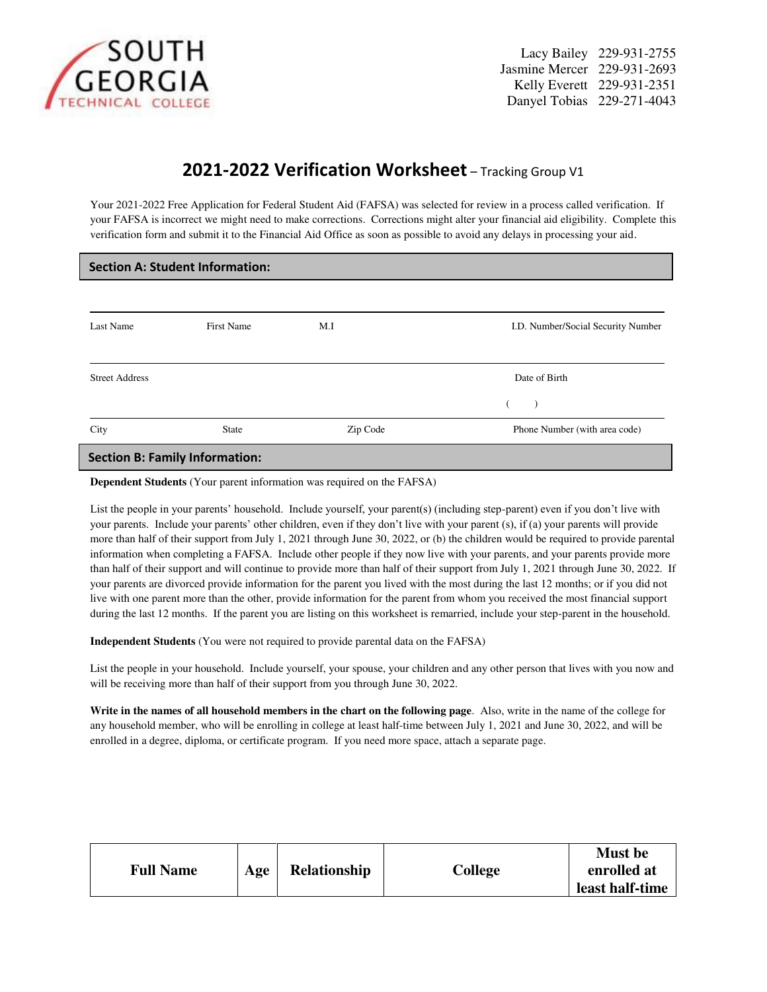

Lacy Bailey 229-931-2755 Jasmine Mercer 229-931-2693  $GEORGIA$  Mercer 229-931-2693 Danyel Tobias 229-271-4043

## **2021-2022 Verification Worksheet** – Tracking Group V1

Your 2021-2022 Free Application for Federal Student Aid (FAFSA) was selected for review in a process called verification. If your FAFSA is incorrect we might need to make corrections. Corrections might alter your financial aid eligibility. Complete this verification form and submit it to the Financial Aid Office as soon as possible to avoid any delays in processing your aid.

| <b>Section A: Student Information:</b> |                   |          |                                    |  |  |  |  |
|----------------------------------------|-------------------|----------|------------------------------------|--|--|--|--|
|                                        |                   |          |                                    |  |  |  |  |
| Last Name                              | <b>First Name</b> | M.I      | I.D. Number/Social Security Number |  |  |  |  |
|                                        |                   |          |                                    |  |  |  |  |
| <b>Street Address</b>                  |                   |          | Date of Birth                      |  |  |  |  |
|                                        |                   |          | $\rightarrow$                      |  |  |  |  |
| City                                   | <b>State</b>      | Zip Code | Phone Number (with area code)      |  |  |  |  |
| <b>Section B: Family Information:</b>  |                   |          |                                    |  |  |  |  |

**Dependent Students** (Your parent information was required on the FAFSA)

List the people in your parents' household. Include yourself, your parent(s) (including step-parent) even if you don't live with your parents. Include your parents' other children, even if they don't live with your parent (s), if (a) your parents will provide more than half of their support from July 1, 2021 through June 30, 2022, or (b) the children would be required to provide parental information when completing a FAFSA. Include other people if they now live with your parents, and your parents provide more than half of their support and will continue to provide more than half of their support from July 1, 2021 through June 30, 2022. If your parents are divorced provide information for the parent you lived with the most during the last 12 months; or if you did not live with one parent more than the other, provide information for the parent from whom you received the most financial support during the last 12 months. If the parent you are listing on this worksheet is remarried, include your step-parent in the household.

**Independent Students** (You were not required to provide parental data on the FAFSA)

List the people in your household. Include yourself, your spouse, your children and any other person that lives with you now and will be receiving more than half of their support from you through June 30, 2022.

**Write in the names of all household members in the chart on the following page**. Also, write in the name of the college for any household member, who will be enrolling in college at least half-time between July 1, 2021 and June 30, 2022, and will be enrolled in a degree, diploma, or certificate program. If you need more space, attach a separate page.

| <b>Full Name</b> | Age | <b>Relationship</b> | College | <b>Must</b> be<br>enrolled at<br>least half-time |
|------------------|-----|---------------------|---------|--------------------------------------------------|
|                  |     |                     |         |                                                  |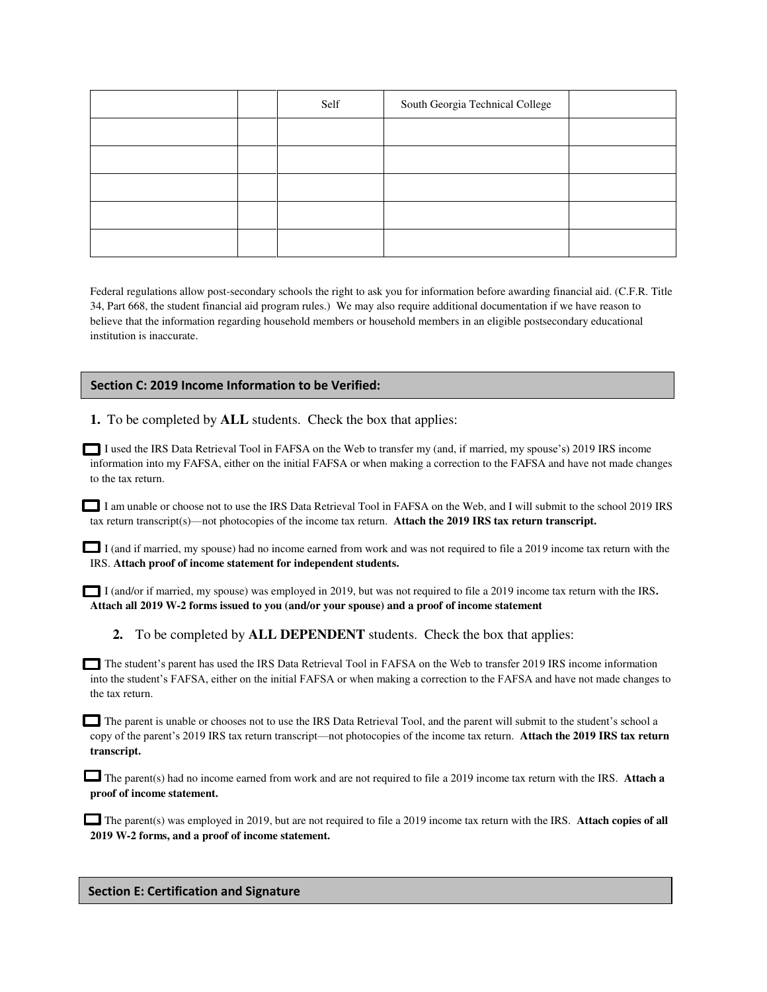|  | Self | South Georgia Technical College |  |
|--|------|---------------------------------|--|
|  |      |                                 |  |
|  |      |                                 |  |
|  |      |                                 |  |
|  |      |                                 |  |
|  |      |                                 |  |

Federal regulations allow post-secondary schools the right to ask you for information before awarding financial aid. (C.F.R. Title 34, Part 668, the student financial aid program rules.) We may also require additional documentation if we have reason to believe that the information regarding household members or household members in an eligible postsecondary educational institution is inaccurate.

## **Section C: 2019 Income Information to be Verified:**

**1.** To be completed by **ALL** students. Check the box that applies:

I used the IRS Data Retrieval Tool in FAFSA on the Web to transfer my (and, if married, my spouse's) 2019 IRS income information into my FAFSA, either on the initial FAFSA or when making a correction to the FAFSA and have not made changes to the tax return.

I am unable or choose not to use the IRS Data Retrieval Tool in FAFSA on the Web, and I will submit to the school 2019 IRS tax return transcript(s)—not photocopies of the income tax return. **Attach the 2019 IRS tax return transcript.** 

I (and if married, my spouse) had no income earned from work and was not required to file a 2019 income tax return with the IRS. **Attach proof of income statement for independent students.** 

I (and/or if married, my spouse) was employed in 2019, but was not required to file a 2019 income tax return with the IRS**. Attach all 2019 W-2 forms issued to you (and/or your spouse) and a proof of income statement** 

**2.** To be completed by **ALL DEPENDENT** students. Check the box that applies:

 The student's parent has used the IRS Data Retrieval Tool in FAFSA on the Web to transfer 2019 IRS income information into the student's FAFSA, either on the initial FAFSA or when making a correction to the FAFSA and have not made changes to the tax return.

The parent is unable or chooses not to use the IRS Data Retrieval Tool, and the parent will submit to the student's school a copy of the parent's 2019 IRS tax return transcript—not photocopies of the income tax return. **Attach the 2019 IRS tax return transcript.** 

The parent(s) had no income earned from work and are not required to file a 2019 income tax return with the IRS. **Attach a proof of income statement.** 

**The parent(s) was employed in 2019, but are not required to file a 2019 income tax return with the IRS. Attach copies of all 2019 W-2 forms, and a proof of income statement.** 

## **Section E: Certification and Signature**